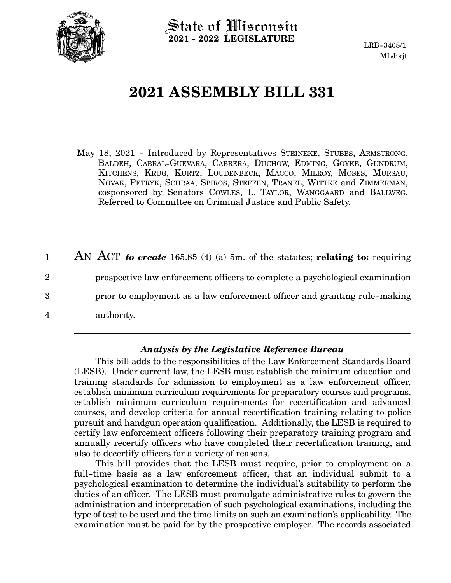

State of Wisconsin **2021 - 2022 LEGISLATURE**

LRB-3408/1 MLJ:kjf

## **2021 ASSEMBLY BILL 331**

- May 18, 2021 Introduced by Representatives STEINEKE, STUBBS, ARMSTRONG, BALDEH, CABRAL-GUEVARA, CABRERA, DUCHOW, EDMING, GOYKE, GUNDRUM, KITCHENS, KRUG, KURTZ, LOUDENBECK, MACCO, MILROY, MOSES, MURSAU, NOVAK, PETRYK, SCHRAA, SPIROS, STEFFEN, TRANEL, WITTKE and ZIMMERMAN, cosponsored by Senators COWLES, L. TAYLOR, WANGGAARD and BALLWEG. Referred to Committee on Criminal Justice and Public Safety.
- AN ACT *to create* 165.85 (4) (a) 5m. of the statutes; **relating to:** requiring prospective law enforcement officers to complete a psychological examination prior to employment as a law enforcement officer and granting rule-making authority. 1 2 3 4

## *Analysis by the Legislative Reference Bureau*

This bill adds to the responsibilities of the Law Enforcement Standards Board (LESB). Under current law, the LESB must establish the minimum education and training standards for admission to employment as a law enforcement officer, establish minimum curriculum requirements for preparatory courses and programs, establish minimum curriculum requirements for recertification and advanced courses, and develop criteria for annual recertification training relating to police pursuit and handgun operation qualification. Additionally, the LESB is required to certify law enforcement officers following their preparatory training program and annually recertify officers who have completed their recertification training, and also to decertify officers for a variety of reasons.

This bill provides that the LESB must require, prior to employment on a full-time basis as a law enforcement officer, that an individual submit to a psychological examination to determine the individual's suitability to perform the duties of an officer. The LESB must promulgate administrative rules to govern the administration and interpretation of such psychological examinations, including the type of test to be used and the time limits on such an examination's applicability. The examination must be paid for by the prospective employer. The records associated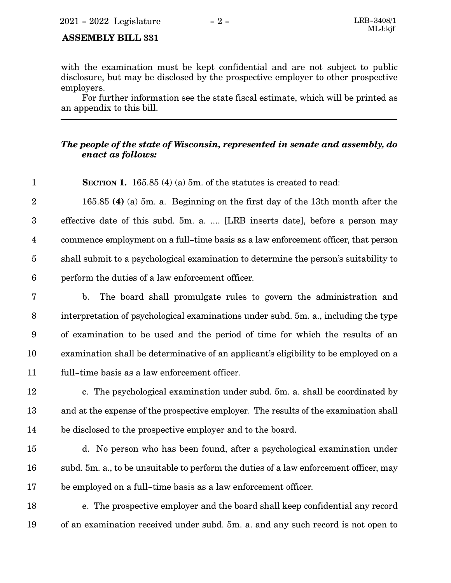## **ASSEMBLY BILL 331**

1

with the examination must be kept confidential and are not subject to public disclosure, but may be disclosed by the prospective employer to other prospective employers.

For further information see the state fiscal estimate, which will be printed as an appendix to this bill.

## *The people of the state of Wisconsin, represented in senate and assembly, do enact as follows:*

**SECTION 1.** 165.85 (4) (a) 5m. of the statutes is created to read:

165.85 **(4)** (a) 5m. a. Beginning on the first day of the 13th month after the effective date of this subd. 5m. a. .... [LRB inserts date], before a person may commence employment on a full-time basis as a law enforcement officer, that person shall submit to a psychological examination to determine the person's suitability to perform the duties of a law enforcement officer. 2 3 4 5 6

- b. The board shall promulgate rules to govern the administration and interpretation of psychological examinations under subd. 5m. a., including the type of examination to be used and the period of time for which the results of an examination shall be determinative of an applicant's eligibility to be employed on a full-time basis as a law enforcement officer. 7 8 9 10 11
- c. The psychological examination under subd. 5m. a. shall be coordinated by and at the expense of the prospective employer. The results of the examination shall be disclosed to the prospective employer and to the board. 12 13 14
- d. No person who has been found, after a psychological examination under subd. 5m. a., to be unsuitable to perform the duties of a law enforcement officer, may be employed on a full-time basis as a law enforcement officer. 15 16 17
- e. The prospective employer and the board shall keep confidential any record of an examination received under subd. 5m. a. and any such record is not open to 18 19